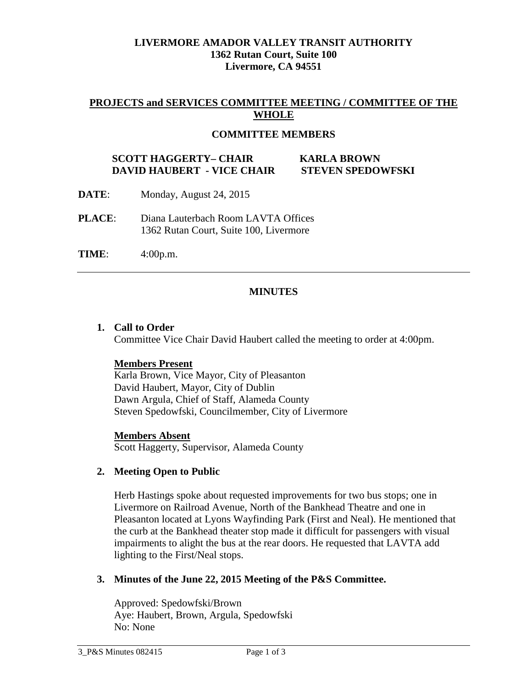### **LIVERMORE AMADOR VALLEY TRANSIT AUTHORITY 1362 Rutan Court, Suite 100 Livermore, CA 94551**

### **PROJECTS and SERVICES COMMITTEE MEETING / COMMITTEE OF THE WHOLE**

### **COMMITTEE MEMBERS**

### **SCOTT HAGGERTY– CHAIR KARLA BROWN DAVID HAUBERT - VICE CHAIR STEVEN SPEDOWFSKI**

- **DATE**: Monday, August 24, 2015
- **PLACE**: Diana Lauterbach Room LAVTA Offices 1362 Rutan Court, Suite 100, Livermore
- **TIME**: 4:00p.m.

### **MINUTES**

#### **1. Call to Order**

Committee Vice Chair David Haubert called the meeting to order at 4:00pm.

### **Members Present**

Karla Brown, Vice Mayor, City of Pleasanton David Haubert, Mayor, City of Dublin Dawn Argula, Chief of Staff, Alameda County Steven Spedowfski, Councilmember, City of Livermore

#### **Members Absent**

Scott Haggerty, Supervisor, Alameda County

#### **2. Meeting Open to Public**

Herb Hastings spoke about requested improvements for two bus stops; one in Livermore on Railroad Avenue, North of the Bankhead Theatre and one in Pleasanton located at Lyons Wayfinding Park (First and Neal). He mentioned that the curb at the Bankhead theater stop made it difficult for passengers with visual impairments to alight the bus at the rear doors. He requested that LAVTA add lighting to the First/Neal stops.

#### **3. Minutes of the June 22, 2015 Meeting of the P&S Committee.**

Approved: Spedowfski/Brown Aye: Haubert, Brown, Argula, Spedowfski No: None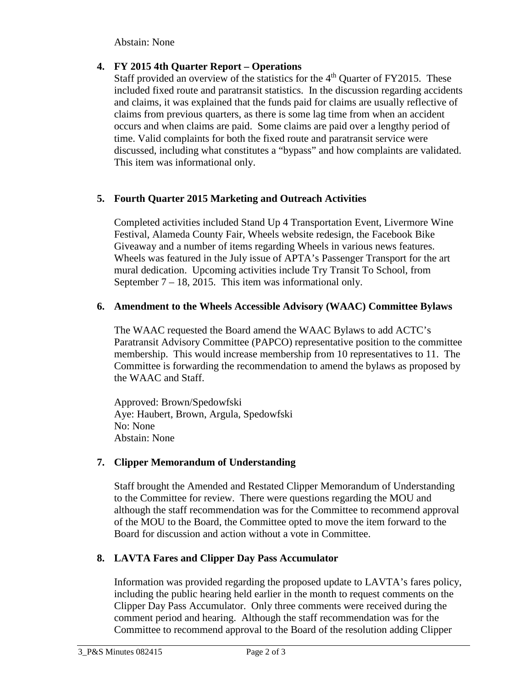Abstain: None

# **4. FY 2015 4th Quarter Report – Operations**

Staff provided an overview of the statistics for the  $4<sup>th</sup>$  Quarter of FY2015. These included fixed route and paratransit statistics. In the discussion regarding accidents and claims, it was explained that the funds paid for claims are usually reflective of claims from previous quarters, as there is some lag time from when an accident occurs and when claims are paid. Some claims are paid over a lengthy period of time. Valid complaints for both the fixed route and paratransit service were discussed, including what constitutes a "bypass" and how complaints are validated. This item was informational only.

# **5. Fourth Quarter 2015 Marketing and Outreach Activities**

Completed activities included Stand Up 4 Transportation Event, Livermore Wine Festival, Alameda County Fair, Wheels website redesign, the Facebook Bike Giveaway and a number of items regarding Wheels in various news features. Wheels was featured in the July issue of APTA's Passenger Transport for the art mural dedication. Upcoming activities include Try Transit To School, from September  $7 - 18$ , 2015. This item was informational only.

## **6. Amendment to the Wheels Accessible Advisory (WAAC) Committee Bylaws**

The WAAC requested the Board amend the WAAC Bylaws to add ACTC's Paratransit Advisory Committee (PAPCO) representative position to the committee membership. This would increase membership from 10 representatives to 11. The Committee is forwarding the recommendation to amend the bylaws as proposed by the WAAC and Staff.

Approved: Brown/Spedowfski Aye: Haubert, Brown, Argula, Spedowfski No: None Abstain: None

## **7. Clipper Memorandum of Understanding**

Staff brought the Amended and Restated Clipper Memorandum of Understanding to the Committee for review. There were questions regarding the MOU and although the staff recommendation was for the Committee to recommend approval of the MOU to the Board, the Committee opted to move the item forward to the Board for discussion and action without a vote in Committee.

# **8. LAVTA Fares and Clipper Day Pass Accumulator**

Information was provided regarding the proposed update to LAVTA's fares policy, including the public hearing held earlier in the month to request comments on the Clipper Day Pass Accumulator. Only three comments were received during the comment period and hearing. Although the staff recommendation was for the Committee to recommend approval to the Board of the resolution adding Clipper